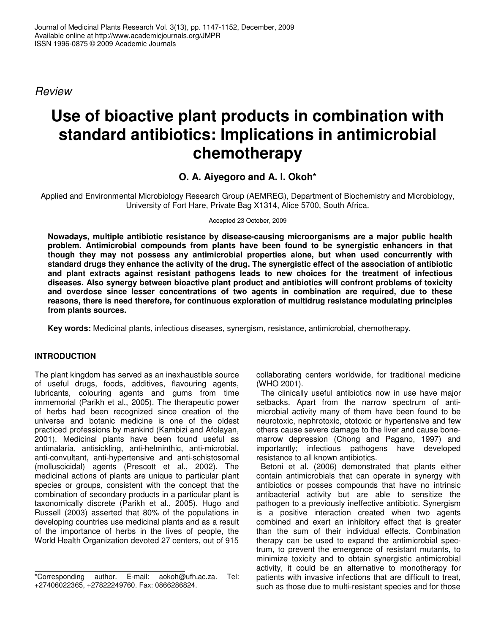*Review*

# **Use of bioactive plant products in combination with standard antibiotics: Implications in antimicrobial chemotherapy**

## **O. A. Aiyegoro and A. I. Okoh\***

Applied and Environmental Microbiology Research Group (AEMREG), Department of Biochemistry and Microbiology, University of Fort Hare, Private Bag X1314, Alice 5700, South Africa.

Accepted 23 October, 2009

**Nowadays, multiple antibiotic resistance by disease-causing microorganisms are a major public health problem. Antimicrobial compounds from plants have been found to be synergistic enhancers in that though they may not possess any antimicrobial properties alone, but when used concurrently with** standard drugs they enhance the activity of the drug. The synergistic effect of the association of antibiotic **and plant extracts against resistant pathogens leads to new choices for the treatment of infectious diseases. Also synergy between bioactive plant product and antibiotics will confront problems of toxicity and overdose since lesser concentrations of two agents in combination are required, due to these reasons, there is need therefore, for continuous exploration of multidrug resistance modulating principles from plants sources.**

**Key words:** Medicinal plants, infectious diseases, synergism, resistance, antimicrobial, chemotherapy.

### **INTRODUCTION**

The plant kingdom has served as an inexhaustible source of useful drugs, foods, additives, flavouring agents, lubricants, colouring agents and gums from time immemorial (Parikh et al., 2005). The therapeutic power of herbs had been recognized since creation of the universe and botanic medicine is one of the oldest practiced professions by mankind (Kambizi and Afolayan, 2001). Medicinal plants have been found useful as antimalaria, antisickling, anti-helminthic, anti-microbial, anti-convultant, anti-hypertensive and anti-schistosomal (molluscicidal) agents (Prescott et al., 2002). The medicinal actions of plants are unique to particular plant species or groups, consistent with the concept that the combination of secondary products in a particular plant is taxonomically discrete (Parikh et al., 2005). Hugo and Russell (2003) asserted that 80% of the populations in developing countries use medicinal plants and as a result of the importance of herbs in the lives of people, the World Health Organization devoted 27 centers, out of 915 collaborating centers worldwide, for traditional medicine (WHO 2001).

The clinically useful antibiotics now in use have major setbacks. Apart from the narrow spectrum of antimicrobial activity many of them have been found to be neurotoxic, nephrotoxic, ototoxic or hypertensive and few others cause severe damage to the liver and cause bonemarrow depression (Chong and Pagano, 1997) and importantly; infectious pathogens have developed resistance to all known antibiotics.

Betoni et al. (2006) demonstrated that plants either contain antimicrobials that can operate in synergy with antibiotics or posses compounds that have no intrinsic antibacterial activity but are able to sensitize the pathogen to a previously ineffective antibiotic. Synergism is a positive interaction created when two agents combined and exert an inhibitory effect that is greater than the sum of their individual effects. Combination therapy can be used to expand the antimicrobial spectrum, to prevent the emergence of resistant mutants, to minimize toxicity and to obtain synergistic antimicrobial activity, it could be an alternative to monotherapy for patients with invasive infections that are difficult to treat, such as those due to multi-resistant species and for those

<sup>\*</sup>Corresponding author. E-mail: aokoh@ufh.ac.za. Tel: +27406022365, +27822249760. Fax: 0866286824.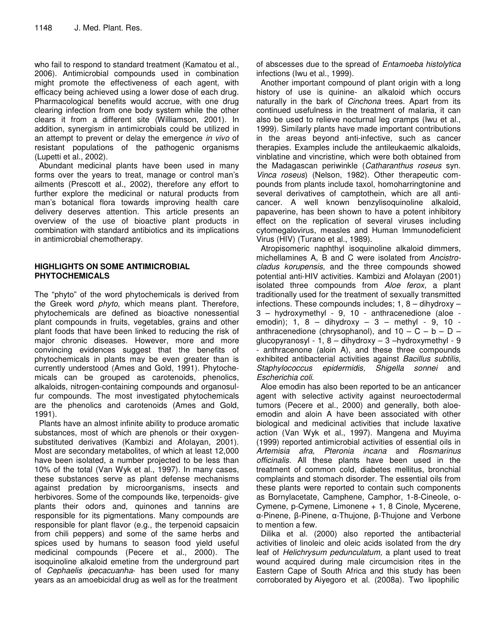who fail to respond to standard treatment (Kamatou et al., 2006). Antimicrobial compounds used in combination might promote the effectiveness of each agent, with efficacy being achieved using a lower dose of each drug. Pharmacological benefits would accrue, with one drug clearing infection from one body system while the other clears it from a different site (Williamson, 2001). In addition, synergism in antimicrobials could be utilized in an attempt to prevent or delay the emergence *in vivo* of resistant populations of the pathogenic organisms (Lupetti et al., 2002).

Abundant medicinal plants have been used in many forms over the years to treat, manage or control man's ailments (Prescott et al., 2002), therefore any effort to further explore the medicinal or natural products from man's botanical flora towards improving health care delivery deserves attention. This article presents an overview of the use of bioactive plant products in combination with standard antibiotics and its implications in antimicrobial chemotherapy.

#### **HIGHLIGHTS ON SOME ANTIMICROBIAL PHYTOCHEMICALS**

The "phyto" of the word phytochemicals is derived from the Greek word *phyto*, which means plant. Therefore, phytochemicals are defined as bioactive nonessential plant compounds in fruits, vegetables, grains and other plant foods that have been linked to reducing the risk of major chronic diseases. However, more and more convincing evidences suggest that the benefits of phytochemicals in plants may be even greater than is currently understood (Ames and Gold, 1991). Phytochemicals can be grouped as carotenoids, phenolics, alkaloids, nitrogen-containing compounds and organosulfur compounds. The most investigated phytochemicals are the phenolics and carotenoids (Ames and Gold, 1991).

Plants have an almost infinite ability to produce aromatic substances, most of which are phenols or their oxygensubstituted derivatives (Kambizi and Afolayan, 2001). Most are secondary metabolites, of which at least 12,000 have been isolated, a number projected to be less than 10% of the total (Van Wyk et al., 1997). In many cases, these substances serve as plant defense mechanisms against predation by microorganisms, insects and herbivores. Some of the compounds like, terpenoids- give plants their odors and, quinones and tannins are responsible for its pigmentations. Many compounds are responsible for plant flavor (e.g., the terpenoid capsaicin from chili peppers) and some of the same herbs and spices used by humans to season food yield useful medicinal compounds (Pecere et al., 2000). The isoquinoline alkaloid emetine from the underground part of *Cephaelis ipecacuanha*- has been used for many years as an amoebicidal drug as well as for the treatment

of abscesses due to the spread of *Entamoeba histolytica* infections (Iwu et al., 1999).

Another important compound of plant origin with a long history of use is quinine- an alkaloid which occurs naturally in the bark of *Cinchona* trees. Apart from its continued usefulness in the treatment of malaria, it can also be used to relieve nocturnal leg cramps (Iwu et al., 1999). Similarly plants have made important contributions in the areas beyond anti-infective, such as cancer therapies. Examples include the antileukaemic alkaloids, vinblatine and vincristine, which were both obtained from the Madagascan periwinkle (*Catharanthus roseus* syn. *Vinca roseus*) (Nelson, 1982). Other therapeutic compounds from plants include taxol, homoharringtonine and several derivatives of camptothein, which are all anticancer. A well known benzylisoquinoline alkaloid, papaverine, has been shown to have a potent inhibitory effect on the replication of several viruses including cytomegalovirus, measles and Human Immunodeficient Virus (HIV) (Turano et al., 1989).

Atropisomeric naphthyl isoquinoline alkaloid dimmers, michellamines A, B and C were isolated from *Ancistrocladus korupensis*, and the three compounds showed potential anti-HIV activities. Kambizi and Afolayan (2001) isolated three compounds from *Aloe ferox,* a plant traditionally used for the treatment of sexually transmitted infections. These compounds includes; 1, 8 – dihydroxy – 3 – hydroxymethyl - 9, 10 - anthracenedione (aloe emodin); 1, 8 – dihydroxy – 3 – methyl - 9, 10 anthracenedione (chrysophanol), and  $10 - C - b - D$ glucopyranosyl - 1,  $8 -$  dihydroxy  $- 3 -$ hydroxymethyl - 9 - anthracenone (aloin A), and these three compounds exhibited antibacterial activities against *Bacillus subtilis, Staphylococcus epidermidis, Shigella sonnei* and *Escherichia coli.*

Aloe emodin has also been reported to be an anticancer agent with selective activity against neuroectodermal tumors (Pecere et al., 2000) and generally, both aloeemodin and aloin A have been associated with other biological and medicinal activities that include laxative action (Van Wyk et al., 1997). Mangena and Muyima (1999) reported antimicrobial activities of essential oils in *Artemisia afra, Pteronia incana* and *Rosmarinus officinalis*. All these plants have been used in the treatment of common cold, diabetes mellitus, bronchial complaints and stomach disorder. The essential oils from these plants were reported to contain such components as Bornylacetate, Camphene, Camphor, 1-8-Cineole, o-Cymene, p-Cymene, Limonene + 1, 8 Cinole, Mycerene, α-Pinene, β-Pinene, α-Thujone, β-Thujone and Verbone to mention a few.

Dilika et al. (2000) also reported the antibacterial activities of linoleic and oleic acids isolated from the dry leaf of *Helichrysum pedunculatum,* a plant used to treat wound acquired during male circumcision rites in the Eastern Cape of South Africa and this study has been corroborated by Aiyegoro et al. (2008a). Two lipophilic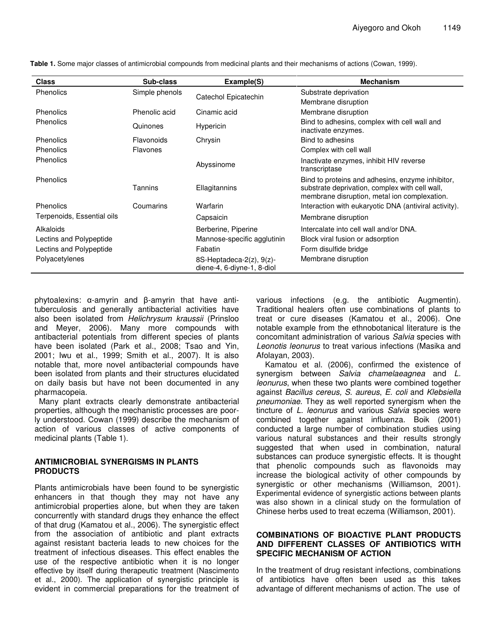| <b>Class</b>               | Sub-class       | Example(S)                                                    | <b>Mechanism</b>                                                                                                                                   |
|----------------------------|-----------------|---------------------------------------------------------------|----------------------------------------------------------------------------------------------------------------------------------------------------|
| Phenolics                  | Simple phenols  | Catechol Epicatechin                                          | Substrate deprivation                                                                                                                              |
|                            |                 |                                                               | Membrane disruption                                                                                                                                |
| Phenolics                  | Phenolic acid   | Cinamic acid                                                  | Membrane disruption                                                                                                                                |
| Phenolics                  | Quinones        | <b>Hypericin</b>                                              | Bind to adhesins, complex with cell wall and<br>inactivate enzymes.                                                                                |
| Phenolics                  | Flavonoids      | Chrysin                                                       | Bind to adhesins                                                                                                                                   |
| Phenolics                  | <b>Flavones</b> |                                                               | Complex with cell wall                                                                                                                             |
| Phenolics                  |                 | Abyssinome                                                    | Inactivate enzymes, inhibit HIV reverse<br>transcriptase                                                                                           |
| Phenolics                  | Tannins         | Ellagitannins                                                 | Bind to proteins and adhesins, enzyme inhibitor,<br>substrate deprivation, complex with cell wall,<br>membrane disruption, metal ion complexation. |
| Phenolics                  | Coumarins       | Warfarin                                                      | Interaction with eukaryotic DNA (antiviral activity).                                                                                              |
| Terpenoids, Essential oils |                 | Capsaicin                                                     | Membrane disruption                                                                                                                                |
| Alkaloids                  |                 | Berberine, Piperine                                           | Intercalate into cell wall and/or DNA.                                                                                                             |
| Lectins and Polypeptide    |                 | Mannose-specific agglutinin                                   | Block viral fusion or adsorption                                                                                                                   |
| Lectins and Polypeptide    |                 | Fabatin                                                       | Form disulfide bridge                                                                                                                              |
| Polyacetylenes             |                 | 8S-Heptadeca- $2(z)$ , $9(z)$ -<br>diene-4, 6-diyne-1, 8-diol | Membrane disruption                                                                                                                                |

**Table 1.** Some major classes of antimicrobial compounds from medicinal plants and their mechanisms of actions (Cowan, 1999).

phytoalexins: α-amyrin and β-amyrin that have antituberculosis and generally antibacterial activities have also been isolated from *Helichrysum kraussii* (Prinsloo and Meyer, 2006). Many more compounds with antibacterial potentials from different species of plants have been isolated (Park et al., 2008; Tsao and Yin, 2001; Iwu et al., 1999; Smith et al., 2007). It is also notable that, more novel antibacterial compounds have been isolated from plants and their structures elucidated on daily basis but have not been documented in any pharmacopeia.

Many plant extracts clearly demonstrate antibacterial properties, although the mechanistic processes are poorly understood. Cowan (1999) describe the mechanism of action of various classes of active components of medicinal plants (Table 1).

#### **ANTIMICROBIAL SYNERGISMS IN PLANTS PRODUCTS**

Plants antimicrobials have been found to be synergistic enhancers in that though they may not have any antimicrobial properties alone, but when they are taken concurrently with standard drugs they enhance the effect of that drug (Kamatou et al., 2006). The synergistic effect from the association of antibiotic and plant extracts against resistant bacteria leads to new choices for the treatment of infectious diseases. This effect enables the use of the respective antibiotic when it is no longer effective by itself during therapeutic treatment (Nascimento et al., 2000). The application of synergistic principle is evident in commercial preparations for the treatment of

various infections (e.g. the antibiotic Augmentin). Traditional healers often use combinations of plants to treat or cure diseases (Kamatou et al., 2006). One notable example from the ethnobotanical literature is the concomitant administration of various *Salvia* species with *Leonotis leonurus* to treat various infections (Masika and Afolayan, 2003).

Kamatou et al. (2006), confirmed the existence of synergism between *Salvia chamelaeagnea* and *L. leonurus*, when these two plants were combined together against *Bacillus cereus, S. aureus*, *E. coli* and *Klebsiella pneumoniae*. They as well reported synergism when the tincture of *L. leonurus* and various *Salvia* species were combined together against influenza. Boik (2001) conducted a large number of combination studies using various natural substances and their results strongly suggested that when used in combination, natural substances can produce synergistic effects. It is thought that phenolic compounds such as flavonoids may increase the biological activity of other compounds by synergistic or other mechanisms (Williamson, 2001). Experimental evidence of synergistic actions between plants was also shown in a clinical study on the formulation of Chinese herbs used to treat eczema (Williamson, 2001).

#### **COMBINATIONS OF BIOACTIVE PLANT PRODUCTS AND DIFFERENT CLASSES OF ANTIBIOTICS WITH SPECIFIC MECHANISM OF ACTION**

In the treatment of drug resistant infections, combinations of antibiotics have often been used as this takes advantage of different mechanisms of action. The use of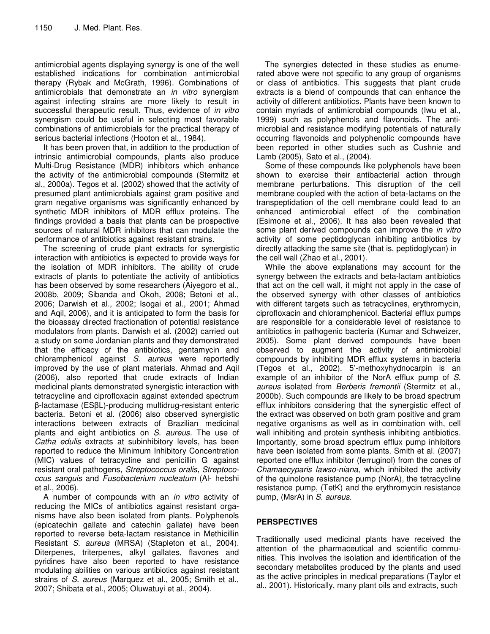antimicrobial agents displaying synergy is one of the well established indications for combination antimicrobial therapy (Rybak and McGrath, 1996). Combinations of antimicrobials that demonstrate an *in vitro* synergism against infecting strains are more likely to result in successful therapeutic result. Thus, evidence of *in vitro* synergism could be useful in selecting most favorable combinations of antimicrobials for the practical therapy of serious bacterial infections (Hooton et al., 1984).

It has been proven that, in addition to the production of intrinsic antimicrobial compounds, plants also produce Multi-Drug Resistance (MDR) inhibitors which enhance the activity of the antimicrobial compounds (Stermitz et al., 2000a). Tegos et al. (2002) showed that the activity of presumed plant antimicrobials against gram positive and gram negative organisms was significantly enhanced by synthetic MDR inhibitors of MDR efflux proteins. The findings provided a basis that plants can be prospective sources of natural MDR inhibitors that can modulate the performance of antibiotics against resistant strains.

The screening of crude plant extracts for synergistic interaction with antibiotics is expected to provide ways for the isolation of MDR inhibitors. The ability of crude extracts of plants to potentiate the activity of antibiotics has been observed by some researchers (Aiyegoro et al., 2008b, 2009; Sibanda and Okoh, 2008; Betoni et al., 2006; Darwish et al., 2002; Isogai et al., 2001; Ahmad and Aqil, 2006), and it is anticipated to form the basis for the bioassay directed fractionation of potential resistance modulators from plants. Darwish et al. (2002) carried out a study on some Jordanian plants and they demonstrated that the efficacy of the antibiotics, gentamycin and chloramphenicol against *S. aureus* were reportedly improved by the use of plant materials. Ahmad and Aqil (2006), also reported that crude extracts of Indian medicinal plants demonstrated synergistic interaction with tetracycline and ciprofloxacin against extended spectrum β-lactamase (ESβL)-producing multidrug-resistant enteric bacteria. Betoni et al. (2006) also observed synergistic interactions between extracts of Brazilian medicinal plants and eight antibiotics on *S. aureus.* The use of *Catha edulis* extracts at subinhibitory levels, has been reported to reduce the Minimum Inhibitory Concentration (MIC) values of tetracycline and penicillin G against resistant oral pathogens, *Streptococcus oralis*, *Streptococcus sanguis* and *Fusobacterium nucleatum* (Al- hebshi et al., 2006).

A number of compounds with an *in vitro* activity of reducing the MICs of antibiotics against resistant organisms have also been isolated from plants. Polyphenols (epicatechin gallate and catechin gallate) have been reported to reverse beta-lactam resistance in Methicillin Resistant *S. aureus* (MRSA) (Stapleton et al., 2004). Diterpenes, triterpenes, alkyl gallates, flavones and pyridines have also been reported to have resistance modulating abilities on various antibiotics against resistant strains of *S. aureus* (Marquez et al., 2005; Smith et al., 2007; Shibata et al., 2005; Oluwatuyi et al., 2004).

The synergies detected in these studies as enumerated above were not specific to any group of organisms or class of antibiotics. This suggests that plant crude extracts is a blend of compounds that can enhance the activity of different antibiotics. Plants have been known to contain myriads of antimicrobial compounds (Iwu et al., 1999) such as polyphenols and flavonoids. The antimicrobial and resistance modifying potentials of naturally occurring flavonoids and polyphenolic compounds have been reported in other studies such as Cushnie and Lamb (2005), Sato et al., (2004).

Some of these compounds like polyphenols have been shown to exercise their antibacterial action through membrane perturbations. This disruption of the cell membrane coupled with the action of beta-lactams on the transpeptidation of the cell membrane could lead to an enhanced antimicrobial effect of the combination (Esimone et al., 2006). It has also been revealed that some plant derived compounds can improve the *in vitro* activity of some peptidoglycan inhibiting antibiotics by directly attacking the same site (that is, peptidoglycan) in the cell wall (Zhao et al., 2001).

While the above explanations may account for the synergy between the extracts and beta-lactam antibiotics that act on the cell wall, it might not apply in the case of the observed synergy with other classes of antibiotics with different targets such as tetracyclines, erythromycin, ciprofloxacin and chloramphenicol. Bacterial efflux pumps are responsible for a considerable level of resistance to antibiotics in pathogenic bacteria (Kumar and Schweizer, 2005). Some plant derived compounds have been observed to augment the activity of antimicrobial compounds by inhibiting MDR efflux systems in bacteria (Tegos et al., 2002). 5'-methoxyhydnocarpin is an example of an inhibitor of the NorA efflux pump of *S. aureus* isolated from *Berberis fremontii* (Stermitz et al., 2000b). Such compounds are likely to be broad spectrum efflux inhibitors considering that the synergistic effect of the extract was observed on both gram positive and gram negative organisms as well as in combination with, cell wall inhibiting and protein synthesis inhibiting antibiotics. Importantly, some broad spectrum efflux pump inhibitors have been isolated from some plants. Smith et al. (2007) reported one efflux inhibitor (ferruginol) from the cones of *Chamaecyparis lawso-niana*, which inhibited the activity of the quinolone resistance pump (NorA), the tetracycline resistance pump, (TetK) and the erythromycin resistance pump, (MsrA) in *S. aureus*.

#### **PERSPECTIVES**

Traditionally used medicinal plants have received the attention of the pharmaceutical and scientific communities. This involves the isolation and identification of the secondary metabolites produced by the plants and used as the active principles in medical preparations (Taylor et al., 2001). Historically, many plant oils and extracts, such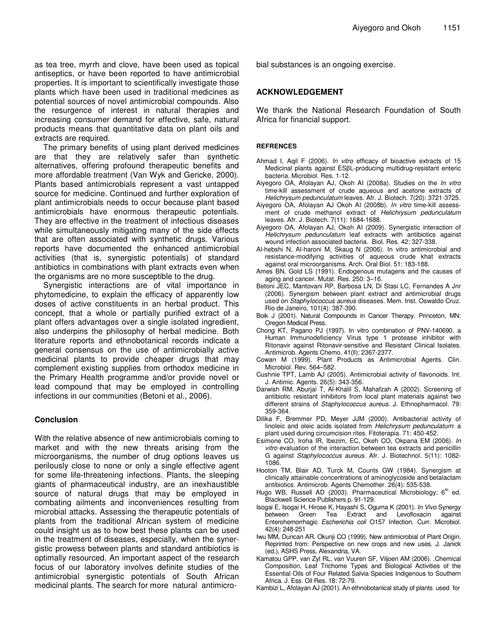as tea tree, myrrh and clove, have been used as topical antiseptics, or have been reported to have antimicrobial properties. It is important to scientifically investigate those plants which have been used in traditional medicines as potential sources of novel antimicrobial compounds. Also the resurgence of interest in natural therapies and increasing consumer demand for effective, safe, natural products means that quantitative data on plant oils and extracts are required.

The primary benefits of using plant derived medicines are that they are relatively safer than synthetic alternatives, offering profound therapeutic benefits and more affordable treatment (Van Wyk and Gericke, 2000). Plants based antimicrobials represent a vast untapped source for medicine. Continued and further exploration of plant antimicrobials needs to occur because plant based antimicrobials have enormous therapeutic potentials. They are effective in the treatment of infectious diseases while simultaneously mitigating many of the side effects that are often associated with synthetic drugs. Various reports have documented the enhanced antimicrobial activities (that is, synergistic potentials) of standard antibiotics in combinations with plant extracts even when the organisms are no more susceptible to the drug.

Synergistic interactions are of vital importance in phytomedicine, to explain the efficacy of apparently low doses of active constituents in an herbal product. This concept, that a whole or partially purified extract of a plant offers advantages over a single isolated ingredient, also underpins the philosophy of herbal medicine. Both literature reports and ethnobotanical records indicate a general consensus on the use of antimicrobially active medicinal plants to provide cheaper drugs that may complement existing supplies from orthodox medicine in the Primary Health programme and/or provide novel or lead compound that may be employed in controlling infections in our communities (Betoni et al., 2006).

#### **Conclusion**

With the relative absence of new antimicrobials coming to market and with the new threats arising from the microorganisms, the number of drug options leaves us perilously close to none or only a single effective agent for some life-threatening infections. Plants, the sleeping giants of pharmaceutical industry, are an inexhaustible source of natural drugs that may be employed in combating ailments and inconveniences resulting from microbial attacks. Assessing the therapeutic potentials of plants from the traditional African system of medicine could insight us as to how best these plants can be used in the treatment of diseases, especially, when the synergistic prowess between plants and standard antibiotics is optimally resourced. An important aspect of the research focus of our laboratory involves definite studies of the antimicrobial synergistic potentials of South African medicinal plants. The search for more natural antimicrobial substances is an ongoing exercise.

#### **ACKNOWLEDGEMENT**

We thank the National Research Foundation of South Africa for financial support.

#### **REFRENCES**

- Ahmad I, Aqil F (2006). *In vitro* efficacy of bioactive extracts of 15 Medicinal plants against ESßL-producing multidrug-resistant enteric bacteria. Microbiol. Res. 1-12.
- Aiyegoro OA, Afolayan AJ, Okoh AI (2008a). Studies on the *In vitro* time-kill assessment of crude aqueous and acetone extracts of *Helichrysum pedunculatum* leaves. Afr. J. Biotech. 7(20): 3721-3725.
- Aiyegoro OA, Afolayan AJ Okoh AI (2008b). *In vitro* time-kill assessment of crude methanol extract of *Helichrysum pedunculatum* leaves. Afr. J. Biotech. 7(11): 1684-1688.
- Aiyegoro OA, Afolayan AJ, Okoh AI (2009). Synergistic interaction of *Helichrysum pedunculatum* leaf extracts with antibiotics against wound infection associated bacteria. Biol. Res. 42: 327-338.
- Al-hebshi N, Al-haroni M, Skaug N (2006). In vitro antimicrobial and resistance-modifying activities of aqueous crude khat extracts against oral microorganisms. Arch. Oral Biol. 51: 183-188.
- Ames BN, Gold LS (1991). Endogenous mutagens and the causes of aging and cancer. Mutat. Res. 250: 3–16.
- Betoni JEC, Mantovani RP, Barbosa LN, Di Stasi LC, Fernandes A Jnr (2006). Synergism between plant extract and antimicrobial drugs used on *Staphylococcus aureus* diseases. Mem. Inst. Oswaldo Cruz. Rio de Janeiro, 101(4): 387-390.
- Boik J (2001). Natural Compounds in Cancer Therapy*.* Princeton, MN: Oregon Medical Press.
- Chong KT, Pagano PJ (1997). In vitro combination of PNV-140690, a Human Immunodeficiency Virus type 1 protease inhibitor with Ritonavir against Ritonavir-sensitive and Resistant Clinical Isolates. Antimicrob. Agents Chemo. 41(ll): 2367-2377.
- Cowan M (1999). Plant Products as Antimicrobial Agents. Clin. Microbiol. Rev. 564–582.
- Cushnie TPT, Lamb AJ (2005). Antimicrobial activity of flavonoids. Int. J. Antimic. Agents. 26(5): 343-356.
- Darwish RM, Aburjai T, Al-Khalil S, Mahafzah A (2002). Screening of antibiotic resistant inhibitors from local plant materials against two different strains of *Staphylococcus aureus*. J. Ethnopharmacol. 79: 359-364.
- Dilika F, Bremmer PD, Meyer JJM (2000). Antibacterial activity of linoleic and oleic acids isolated from *Helichrysum pedunculatum*: a plant used during circumcision rites. Fitoterapia. 71: 450-452.
- Esimone CO, Iroha IR, Ibezim, EC, Okeh CO, Okpana EM (2006). *In vitro* evaluation of the interaction between tea extracts and penicillin G against *Staphylococcus aureus.* Afr. J. Biotechnol. 5(11): 1082- 1086.
- Hooton TM, Blair AD, Turck M, Counts GW (1984). Synergism at clinically attainable concentrations of aminoglycoside and betalactam antibiotics. Antimicrob. Agents Chemother. 26(4): 535-538.
- Hugo WB, Russell AD (2003). Pharmaceutical Microbiology; 6<sup>th</sup> ed. Blackwell Science Publishers p. 91-129.
- Isogai E, Isogai H, Hirose K, Hayashi S, Oguma K (2001). *In Vivo* Synergy between Green Tea Extract and Levofloxacin against Enterohemorrhagic *Escherichia coli* O157 Infection. Curr. Microbiol. 42(4): 248-251
- Iwu MM, Duncan AR, Okunji CO (1999). New antimicrobial of Plant Origin. Reprinted from: Perspective on new crops and new uses. J. Janick (ed.), ASHS Press, Alexandria, VA.
- Kamatou GPP, van Zyl RL, van Vuuren SF, Viljoen AM (2006). .Chemical Composition, Leaf Trichome Types and Biological Activities of the Essential Oils of Four Related Salvia Species Indigenous to Southern Africa. J. Ess. Oil Res. 18: 72-79.
- Kambizi L, Afolayan AJ (2001). An ethnobotanical study of plants used for